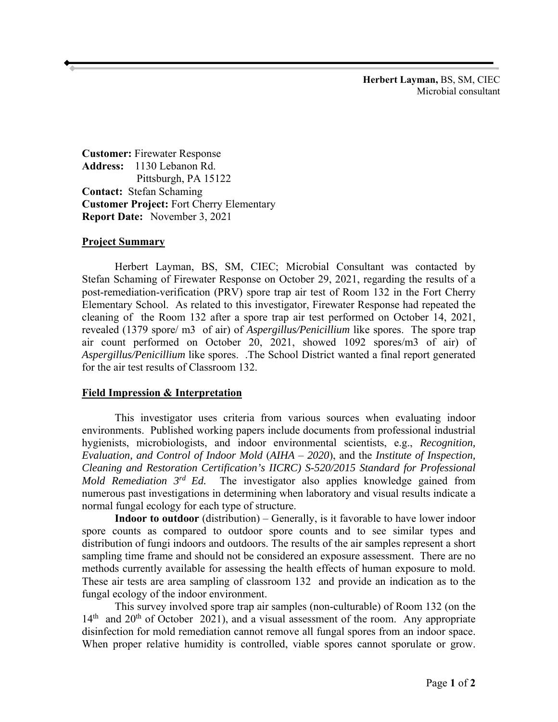**Herbert Layman,** BS, SM, CIEC Microbial consultant

 **Report Date:** November 3, 2021 **Customer:** Firewater Response **Address:** 1130 Lebanon Rd. Pittsburgh, PA 15122 **Contact:** Stefan Schaming **Customer Project:** Fort Cherry Elementary

## **Project Summary**

 Stefan Schaming of Firewater Response on October 29, 2021, regarding the results of a revealed (1379 spore/ m3 of air) of *Aspergillus/Penicillium* like spores. The spore trap Herbert Layman, BS, SM, CIEC; Microbial Consultant was contacted by post-remediation-verification (PRV) spore trap air test of Room 132 in the Fort Cherry Elementary School. As related to this investigator, Firewater Response had repeated the cleaning of the Room 132 after a spore trap air test performed on October 14, 2021, air count performed on October 20, 2021, showed 1092 spores/m3 of air) of *Aspergillus/Penicillium* like spores. .The School District wanted a final report generated for the air test results of Classroom 132.

## **Field Impression & Interpretation**

 numerous past investigations in determining when laboratory and visual results indicate a This investigator uses criteria from various sources when evaluating indoor environments. Published working papers include documents from professional industrial hygienists, microbiologists, and indoor environmental scientists, e.g., *Recognition, Evaluation, and Control of Indoor Mold* (*AIHA* – *2020*), and the *Institute of Inspection, Cleaning and Restoration Certification's IICRC) S-520/2015 Standard for Professional Mold Remediation 3rd Ed.* The investigator also applies knowledge gained from normal fungal ecology for each type of structure.

**Indoor to outdoor** (distribution) – Generally, is it favorable to have lower indoor spore counts as compared to outdoor spore counts and to see similar types and distribution of fungi indoors and outdoors. The results of the air samples represent a short sampling time frame and should not be considered an exposure assessment. There are no methods currently available for assessing the health effects of human exposure to mold. These air tests are area sampling of classroom 132 and provide an indication as to the fungal ecology of the indoor environment.

 This survey involved spore trap air samples (non-culturable) of Room 132 (on the  $14<sup>th</sup>$  and  $20<sup>th</sup>$  of October 2021), and a visual assessment of the room. Any appropriate disinfection for mold remediation cannot remove all fungal spores from an indoor space. When proper relative humidity is controlled, viable spores cannot sporulate or grow.